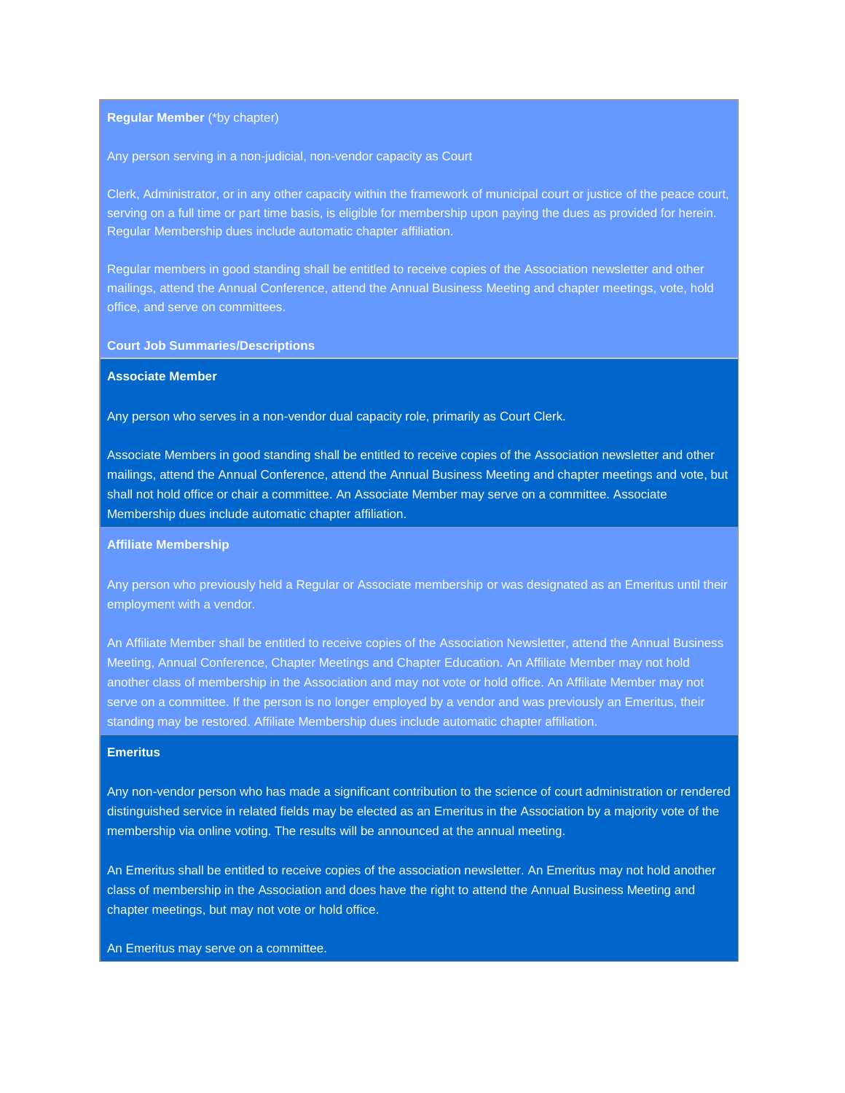### **Regular Member** (\*by chapter)

#### Any person serving in a non-judicial, non-vendor capacity as Court

Clerk, Administrator, or in any other capacity within the framework of municipal court or justice of the peace court, serving on a full time or part time basis, is eligible for membership upon paying the dues as provided for herein. Regular Membership dues include automatic chapter affiliation.

Regular members in good standing shall be entitled to receive copies of the Association newsletter and other mailings, attend the Annual Conference, attend the Annual Business Meeting and chapter meetings, vote, hold office, and serve on committees.

#### **Court Job Summaries/Descriptions**

### **Associate Member**

Any person who serves in a non-vendor dual capacity role, primarily as Court Clerk.

Associate Members in good standing shall be entitled to receive copies of the Association newsletter and other mailings, attend the Annual Conference, attend the Annual Business Meeting and chapter meetings and vote, but shall not hold office or chair a committee. An Associate Member may serve on a committee. Associate Membership dues include automatic chapter affiliation.

## **Affiliate Membership**

Any person who previously held a Regular or Associate membership or was designated as an Emeritus until their employment with a vendor.

An Affiliate Member shall be entitled to receive copies of the Association Newsletter, attend the Annual Business Meeting, Annual Conference, Chapter Meetings and Chapter Education. An Affiliate Member may not hold another class of membership in the Association and may not vote or hold office. An Affiliate Member may not serve on a committee. If the person is no longer employed by a vendor and was previously an Emeritus, their standing may be restored. Affiliate Membership dues include automatic chapter affiliation.

## **Emeritus**

Any non-vendor person who has made a significant contribution to the science of court administration or rendered distinguished service in related fields may be elected as an Emeritus in the Association by a majority vote of the membership via online voting. The results will be announced at the annual meeting.

An Emeritus shall be entitled to receive copies of the association newsletter. An Emeritus may not hold another class of membership in the Association and does have the right to attend the Annual Business Meeting and chapter meetings, but may not vote or hold office.

#### An Emeritus may serve on a committee.